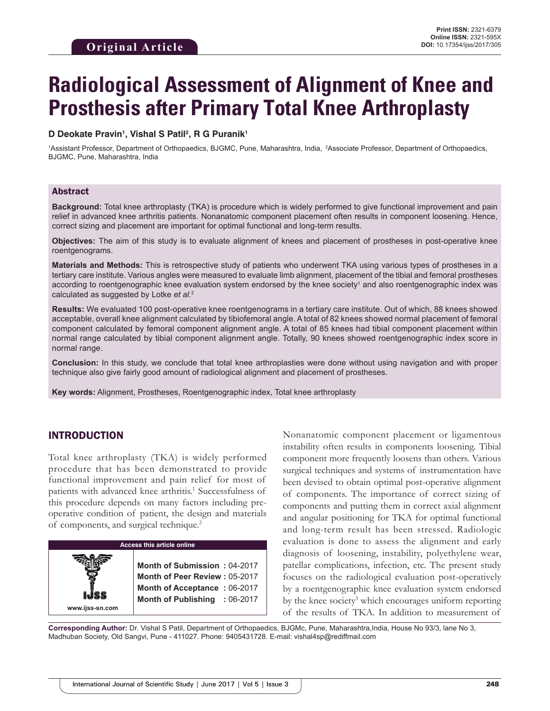# **Radiological Assessment of Alignment of Knee and Prosthesis after Primary Total Knee Arthroplasty**

#### **D Deokate Pravin1 , Vishal S Patil2 , R G Puranik1**

1 Assistant Professor, Department of Orthopaedics, BJGMC, Pune, Maharashtra, India, 2Associate Professor, Department of Orthopaedics, BJGMC, Pune, Maharashtra, India

#### Abstract

**Background:** Total knee arthroplasty (TKA) is procedure which is widely performed to give functional improvement and pain relief in advanced knee arthritis patients. Nonanatomic component placement often results in component loosening. Hence, correct sizing and placement are important for optimal functional and long-term results.

**Objectives:** The aim of this study is to evaluate alignment of knees and placement of prostheses in post-operative knee roentgenograms.

**Materials and Methods:** This is retrospective study of patients who underwent TKA using various types of prostheses in a tertiary care institute. Various angles were measured to evaluate limb alignment, placement of the tibial and femoral prostheses according to roentgenographic knee evaluation system endorsed by the knee society<sup>1</sup> and also roentgenographic index was calculated as suggested by Lotke *et al.*<sup>2</sup>

**Results:** We evaluated 100 post-operative knee roentgenograms in a tertiary care institute. Out of which, 88 knees showed acceptable, overall knee alignment calculated by tibiofemoral angle. A total of 82 knees showed normal placement of femoral component calculated by femoral component alignment angle. A total of 85 knees had tibial component placement within normal range calculated by tibial component alignment angle. Totally, 90 knees showed roentgenographic index score in normal range.

**Conclusion:** In this study, we conclude that total knee arthroplasties were done without using navigation and with proper technique also give fairly good amount of radiological alignment and placement of prostheses.

**Key words:** Alignment, Prostheses, Roentgenographic index, Total knee arthroplasty

#### INTRODUCTION

Total knee arthroplasty (TKA) is widely performed procedure that has been demonstrated to provide functional improvement and pain relief for most of patients with advanced knee arthritis.<sup>1</sup> Successfulness of this procedure depends on many factors including preoperative condition of patient, the design and materials of components, and surgical technique.2



Nonanatomic component placement or ligamentous instability often results in components loosening. Tibial component more frequently loosens than others. Various surgical techniques and systems of instrumentation have been devised to obtain optimal post-operative alignment of components. The importance of correct sizing of components and putting them in correct axial alignment and angular positioning for TKA for optimal functional and long-term result has been stressed. Radiologic evaluation is done to assess the alignment and early diagnosis of loosening, instability, polyethylene wear, patellar complications, infection, etc. The present study focuses on the radiological evaluation post-operatively by a roentgenographic knee evaluation system endorsed by the knee society<sup>3</sup> which encourages uniform reporting of the results of TKA. In addition to measurement of

**Corresponding Author:** Dr. Vishal S Patil, Department of Orthopaedics, BJGMc, Pune, Maharashtra,India, House No 93/3, lane No 3, Madhuban Society, Old Sangvi, Pune - 411027. Phone: 9405431728. E-mail: vishal4sp@rediffmail.com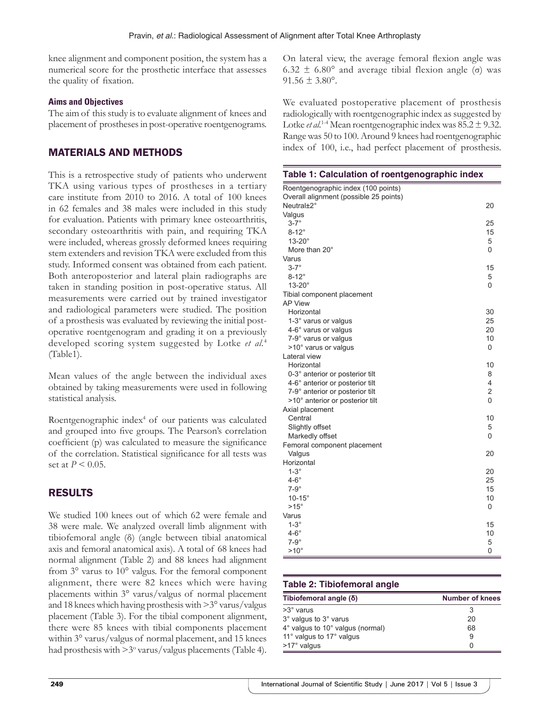knee alignment and component position, the system has a numerical score for the prosthetic interface that assesses the quality of fixation.

#### **Aims and Objectives**

The aim of this study is to evaluate alignment of knees and placement of prostheses in post-operative roentgenograms.

#### MATERIALS AND METHODS

This is a retrospective study of patients who underwent TKA using various types of prostheses in a tertiary care institute from 2010 to 2016. A total of 100 knees in 62 females and 38 males were included in this study for evaluation. Patients with primary knee osteoarthritis, secondary osteoarthritis with pain, and requiring TKA were included, whereas grossly deformed knees requiring stem extenders and revision TKA were excluded from this study. Informed consent was obtained from each patient. Both anteroposterior and lateral plain radiographs are taken in standing position in post-operative status. All measurements were carried out by trained investigator and radiological parameters were studied. The position of a prosthesis was evaluated by reviewing the initial postoperative roentgenogram and grading it on a previously developed scoring system suggested by Lotke *et al.*<sup>4</sup> (Table1).

Mean values of the angle between the individual axes obtained by taking measurements were used in following statistical analysis.

Roentgenographic index<sup>4</sup> of our patients was calculated and grouped into five groups. The Pearson's correlation coefficient (p) was calculated to measure the significance of the correlation. Statistical significance for all tests was set at *P* < 0.05.

## RESULTS

We studied 100 knees out of which 62 were female and 38 were male. We analyzed overall limb alignment with tibiofemoral angle (δ) (angle between tibial anatomical axis and femoral anatomical axis). A total of 68 knees had normal alignment (Table 2) and 88 knees had alignment from 3° varus to 10° valgus. For the femoral component alignment, there were 82 knees which were having placements within 3° varus/valgus of normal placement and 18 knees which having prosthesis with >3° varus/valgus placement (Table 3). For the tibial component alignment, there were 85 knees with tibial components placement within 3° varus/valgus of normal placement, and 15 knees had prosthesis with  $>3^{\circ}$  varus/valgus placements (Table 4).

On lateral view, the average femoral flexion angle was 6.32 ± 6.80° and average tibial flexion angle (σ) was  $91.56 \pm 3.80^{\circ}$ .

We evaluated postoperative placement of prosthesis radiologically with roentgenographic index as suggested by Lotke *et al.*<sup>1-4</sup> Mean roentgenographic index was  $85.2 \pm 9.32$ . Range was 50 to 100. Around 9 knees had roentgenographic index of 100, i.e., had perfect placement of prosthesis.

| Table 1: Calculation of roentgenographic index |                |
|------------------------------------------------|----------------|
| Roentgenographic index (100 points)            |                |
| Overall alignment (possible 25 points)         |                |
| Neutral±2°                                     | 20             |
| Valgus                                         |                |
| $3-7^\circ$                                    | 25             |
| $8-12^\circ$                                   | 15             |
| $13-20^\circ$                                  | 5              |
| More than 20°                                  | 0              |
| Varus                                          |                |
| $3-7^\circ$                                    | 15             |
| $8-12^\circ$                                   | 5              |
| $13-20^\circ$                                  | 0              |
| Tibial component placement                     |                |
| <b>AP View</b>                                 |                |
| Horizontal                                     | 30             |
| 1-3° varus or valgus                           | 25             |
| 4-6° varus or valgus                           | 20             |
| 7-9° varus or valgus                           | 10             |
| >10° varus or valgus                           | 0              |
| Lateral view                                   |                |
| Horizontal                                     | 10             |
| 0-3° anterior or posterior tilt                | 8              |
| 4-6° anterior or posterior tilt                | 4              |
| 7-9° anterior or posterior tilt                | $\overline{2}$ |
| >10° anterior or posterior tilt                | $\Omega$       |
| Axial placement                                |                |
| Central                                        | 10             |
| Slightly offset                                | 5              |
| Markedly offset                                | 0              |
| Femoral component placement                    |                |
| Valgus                                         | 20             |
| Horizontal                                     |                |
| $1-3^\circ$                                    | 20             |
| $4-6^\circ$                                    | 25             |
| $7-9^\circ$                                    | 15             |
| $10-15^\circ$                                  | 10             |
| $>15^\circ$                                    | 0              |
| Varus                                          |                |
| $1-3^\circ$                                    | 15             |
| $4-6^\circ$                                    | 10             |
| $7-9^\circ$                                    | 5              |
| $>10^{\circ}$                                  | 0              |

#### **Table 2: Tibiofemoral angle**

| Tibiofemoral angle (δ)           | <b>Number of knees</b> |
|----------------------------------|------------------------|
| $>3^\circ$ varus                 | 3                      |
| 3° valgus to 3° varus            | 20                     |
| 4° valgus to 10° valgus (normal) | 68                     |
| 11° valgus to 17° valgus         | 9                      |
| >17° valgus                      | 0                      |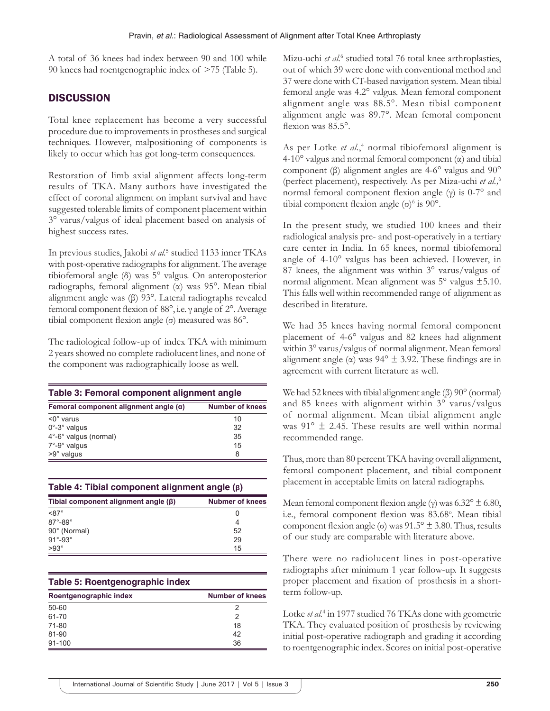A total of 36 knees had index between 90 and 100 while 90 knees had roentgenographic index of >75 (Table 5).

# **DISCUSSION**

Total knee replacement has become a very successful procedure due to improvements in prostheses and surgical techniques. However, malpositioning of components is likely to occur which has got long-term consequences.

Restoration of limb axial alignment affects long-term results of TKA. Many authors have investigated the effect of coronal alignment on implant survival and have suggested tolerable limits of component placement within 3° varus/valgus of ideal placement based on analysis of highest success rates.

In previous studies, Jakobi et al.<sup>5</sup> studied 1133 inner TKAs with post-operative radiographs for alignment. The average tibiofemoral angle (δ) was 5° valgus. On anteroposterior radiographs, femoral alignment (α) was 95°. Mean tibial alignment angle was (β) 93°. Lateral radiographs revealed femoral component flexion of 88°, i.e. γ angle of 2°. Average tibial component flexion angle (σ) measured was 86°.

The radiological follow-up of index TKA with minimum 2 years showed no complete radiolucent lines, and none of the component was radiographically loose as well.

| Table 3: Femoral component alignment angle   |                        |  |
|----------------------------------------------|------------------------|--|
| Femoral component alignment angle $(\alpha)$ | <b>Number of knees</b> |  |
| $\leq 0^\circ$ varus                         | 10                     |  |
| $0^\circ$ -3 $^\circ$ valgus                 | 32                     |  |
| 4°-6° valgus (normal)                        | 35                     |  |
| $7^\circ$ -9 $^\circ$ valgus                 | 15                     |  |
| $>9^\circ$ valgus                            | 8                      |  |

| Table 4: Tibial component alignment angle $(\beta)$ |                        |  |
|-----------------------------------------------------|------------------------|--|
| Tibial component alignment angle $(\beta)$          | <b>Nubmer of knees</b> |  |
| $<87^\circ$                                         | 0                      |  |
| $87^\circ - 89^\circ$                               | 4                      |  |
| 90° (Normal)                                        | 52                     |  |
| $91^\circ - 93^\circ$                               | 29                     |  |
| $>93^\circ$                                         | 15                     |  |

## **Table 5: Roentgenographic index**

| Roentgenographic index | <b>Number of knees</b> |
|------------------------|------------------------|
| $50 - 60$              |                        |
| 61-70                  | 2                      |
| 71-80                  | 18                     |
| 81-90                  | 42                     |
| 91-100                 | 36                     |

Mizu-uchi *et al.*<sup>6</sup> studied total 76 total knee arthroplasties, out of which 39 were done with conventional method and 37 were done with CT-based navigation system. Mean tibial femoral angle was 4.2° valgus. Mean femoral component alignment angle was 88.5°. Mean tibial component alignment angle was 89.7°. Mean femoral component flexion was 85.5°.

As per Lotke *et al.*,<sup>4</sup> normal tibiofemoral alignment is 4-10° valgus and normal femoral component (α) and tibial component (β) alignment angles are 4-6° valgus and 90° (perfect placement), respectively. As per Miza-uchi *et al.,*<sup>6</sup> normal femoral component flexion angle (γ) is 0-7° and tibial component flexion angle  $(\sigma)^6$  is 90°.

In the present study, we studied 100 knees and their radiological analysis pre- and post-operatively in a tertiary care center in India. In 65 knees, normal tibiofemoral angle of 4-10° valgus has been achieved. However, in 87 knees, the alignment was within 3° varus/valgus of normal alignment. Mean alignment was 5° valgus ±5.10. This falls well within recommended range of alignment as described in literature.

We had 35 knees having normal femoral component placement of 4-6° valgus and 82 knees had alignment within 3° varus/valgus of normal alignment. Mean femoral alignment angle ( $\alpha$ ) was 94°  $\pm$  3.92. These findings are in agreement with current literature as well.

We had 52 knees with tibial alignment angle (β) 90° (normal) and 85 knees with alignment within 3° varus/valgus of normal alignment. Mean tibial alignment angle was  $91^{\circ} \pm 2.45$ . These results are well within normal recommended range.

Thus, more than 80 percent TKA having overall alignment, femoral component placement, and tibial component placement in acceptable limits on lateral radiographs.

Mean femoral component flexion angle (γ) was  $6.32^{\circ} \pm 6.80$ , i.e., femoral component flexion was 83.68°. Mean tibial component flexion angle (σ) was  $91.5^{\circ} \pm 3.80$ . Thus, results of our study are comparable with literature above.

There were no radiolucent lines in post-operative radiographs after minimum 1 year follow-up. It suggests proper placement and fixation of prosthesis in a shortterm follow-up.

Lotke *et al.*<sup>4</sup> in 1977 studied 76 TKAs done with geometric TKA. They evaluated position of prosthesis by reviewing initial post-operative radiograph and grading it according to roentgenographic index. Scores on initial post-operative